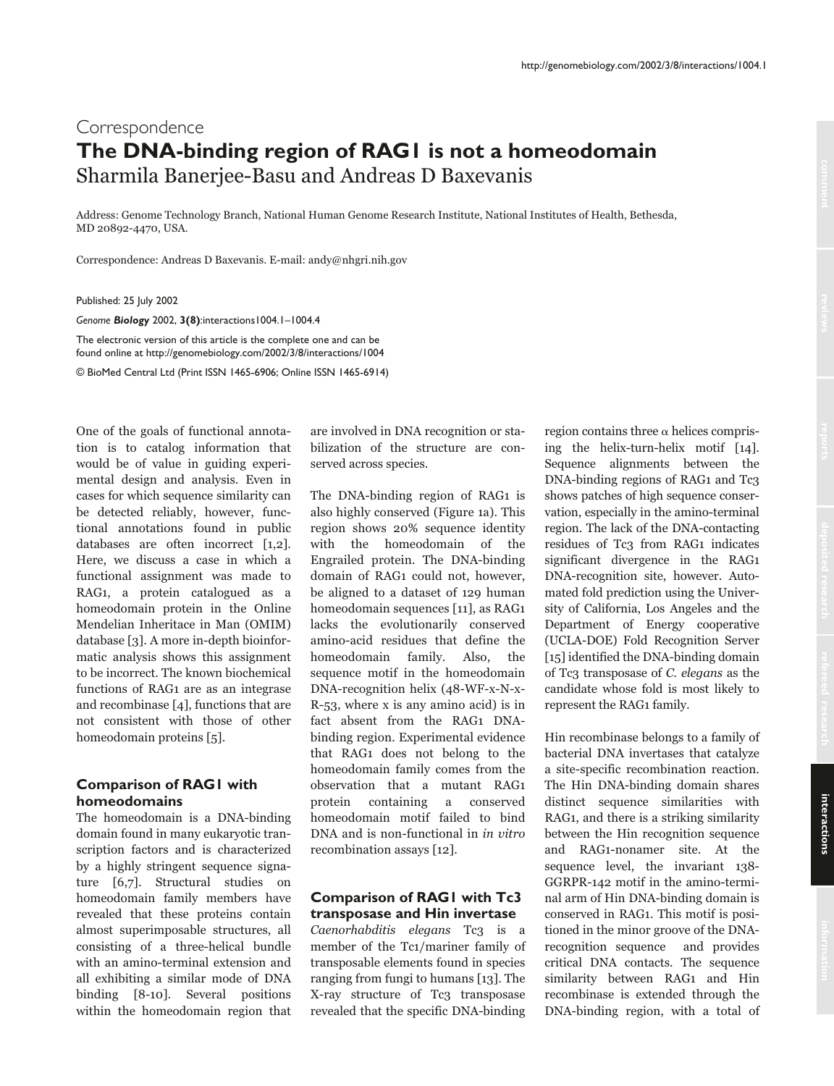# Correspondence **The DNA-binding region of RAG1 is not a homeodomain** Sharmila Banerjee-Basu and Andreas D Baxevanis

Address: Genome Technology Branch, National Human Genome Research Institute, National Institutes of Health, Bethesda, MD 20892-4470, USA.

Correspondence: Andreas D Baxevanis. E-mail: andy@nhgri.nih.gov

Published: 25 July 2002

*Genome Biology* 2002, **3(8)**:interactions1004.1–1004.4

The electronic version of this article is the complete one and can be found online at http://genomebiology.com/2002/3/8/interactions/1004

© BioMed Central Ltd (Print ISSN 1465-6906; Online ISSN 1465-6914)

One of the goals of functional annotation is to catalog information that would be of value in guiding experimental design and analysis. Even in cases for which sequence similarity can be detected reliably, however, functional annotations found in public databases are often incorrect [1,2]. Here, we discuss a case in which a functional assignment was made to RAG1, a protein catalogued as a homeodomain protein in the Online Mendelian Inheritace in Man (OMIM) database [3]. A more in-depth bioinformatic analysis shows this assignment to be incorrect. The known biochemical functions of RAG1 are as an integrase and recombinase [4], functions that are not consistent with those of other homeodomain proteins [5].

# **Comparison of RAG1 with homeodomains**

The homeodomain is a DNA-binding domain found in many eukaryotic transcription factors and is characterized by a highly stringent sequence signature [6,7]. Structural studies on homeodomain family members have revealed that these proteins contain almost superimposable structures, all consisting of a three-helical bundle with an amino-terminal extension and all exhibiting a similar mode of DNA binding [8-10]. Several positions within the homeodomain region that

are involved in DNA recognition or stabilization of the structure are conserved across species.

The DNA-binding region of RAG1 is also highly conserved (Figure 1a). This region shows 20% sequence identity with the homeodomain of the Engrailed protein. The DNA-binding domain of RAG1 could not, however, be aligned to a dataset of 129 human homeodomain sequences [11], as RAG1 lacks the evolutionarily conserved amino-acid residues that define the homeodomain family. Also, the sequence motif in the homeodomain DNA-recognition helix (48-WF-x-N-x-R-53, where x is any amino acid) is in fact absent from the RAG1 DNAbinding region. Experimental evidence that RAG1 does not belong to the homeodomain family comes from the observation that a mutant RAG1 protein containing a conserved homeodomain motif failed to bind DNA and is non-functional in in vitro recombination assays [12].

## **Comparison of RAG1 with Tc3 transposase and Hin invertase**

Caenorhabditis elegans Tc3 is a member of the Tc1/mariner family of transposable elements found in species ranging from fungi to humans [13]. The X-ray structure of Tc3 transposase revealed that the specific DNA-binding region contains three  $\alpha$  helices comprising the helix-turn-helix motif [14]. Sequence alignments between the DNA-binding regions of RAG1 and Tc3 shows patches of high sequence conservation, especially in the amino-terminal region. The lack of the DNA-contacting residues of Tc3 from RAG1 indicates significant divergence in the RAG1 DNA-recognition site, however. Automated fold prediction using the University of California, Los Angeles and the Department of Energy cooperative (UCLA-DOE) Fold Recognition Server [15] identified the DNA-binding domain of Tc3 transposase of C. elegans as the candidate whose fold is most likely to represent the RAG1 family.

Hin recombinase belongs to a family of bacterial DNA invertases that catalyze a site-specific recombination reaction. The Hin DNA-binding domain shares distinct sequence similarities with RAG<sub>1</sub>, and there is a striking similarity between the Hin recognition sequence and RAG1-nonamer site. At the sequence level, the invariant 138-GGRPR-142 motif in the amino-terminal arm of Hin DNA-binding domain is conserved in RAG1. This motif is positioned in the minor groove of the DNArecognition sequence and provides critical DNA contacts. The sequence similarity between RAG1 and Hin recombinase is extended through the DNA-binding region, with a total of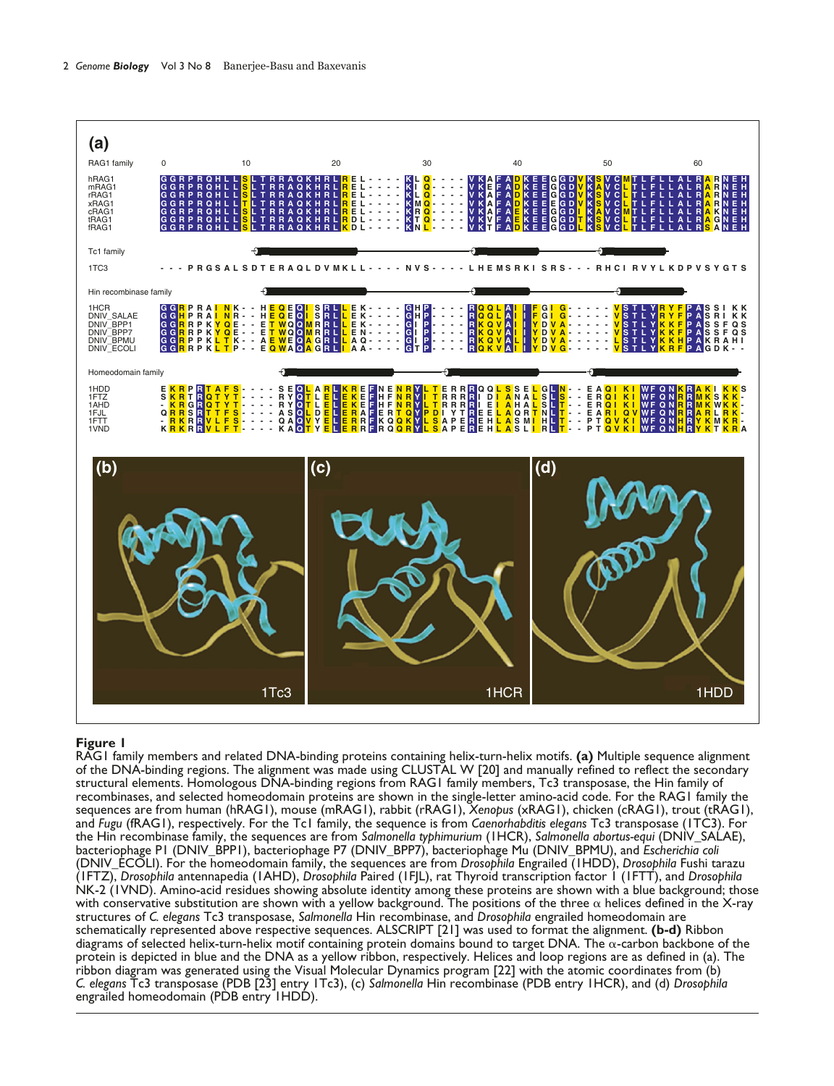

### **Figure 1**

RAG1 family members and related DNA-binding proteins containing helix-turn-helix motifs. **(a)** Multiple sequence alignment of the DNA-binding regions. The alignment was made using CLUSTAL W [20] and manually refined to reflect the secondary structural elements. Homologous DNA-binding regions from RAG1 family members, Tc3 transposase, the Hin family of recombinases, and selected homeodomain proteins are shown in the single-letter amino-acid code. For the RAG1 family the sequences are from human (hRAG1), mouse (mRAG1), rabbit (rRAG1), *Xenopus* (xRAG1), chicken (cRAG1), trout (tRAG1), and *Fugu* (fRAG1), respectively. For the Tc1 family, the sequence is from *Caenorhabditis elegans* Tc3 transposase (1TC3). For the Hin recombinase family, the sequences are from *Salmonella typhimurium* (1HCR), *Salmonella abortus-equi* (DNIV\_SALAE), bacteriophage P1 (DNIV\_BPP1), bacteriophage P7 (DNIV\_BPP7), bacteriophage Mu (DNIV\_BPMU), and *Escherichia coli* (DNIV\_ECOLI). For the homeodomain family, the sequences are from *Drosophila* Engrailed (1HDD), *Drosophila* Fushi tarazu (1FTZ), *Drosophila* antennapedia (1AHD), *Drosophila* Paired (1FJL), rat Thyroid transcription factor 1 (1FTT), and *Drosophila* NK-2 (1VND). Amino-acid residues showing absolute identity among these proteins are shown with a blue background; those with conservative substitution are shown with a yellow background. The positions of the three  $\alpha$  helices defined in the X-ray structures of *C. elegans* Tc3 transposase, *Salmonella* Hin recombinase, and *Drosophila* engrailed homeodomain are schematically represented above respective sequences. ALSCRIPT [21] was used to format the alignment. **(b-d)** Ribbon diagrams of selected helix-turn-helix motif containing protein domains bound to target DNA. The  $\alpha$ -carbon backbone of the protein is depicted in blue and the DNA as a yellow ribbon, respectively. Helices and loop regions are as defined in (a). The ribbon diagram was generated using the Visual Molecular Dynamics program [22] with the atomic coordinates from (b) *C. elegans* Tc3 transposase (PDB [23] entry 1Tc3), (c) *Salmonella* Hin recombinase (PDB entry 1HCR), and (d) *Drosophila* engrailed homeodomain (PDB entry 1HDD).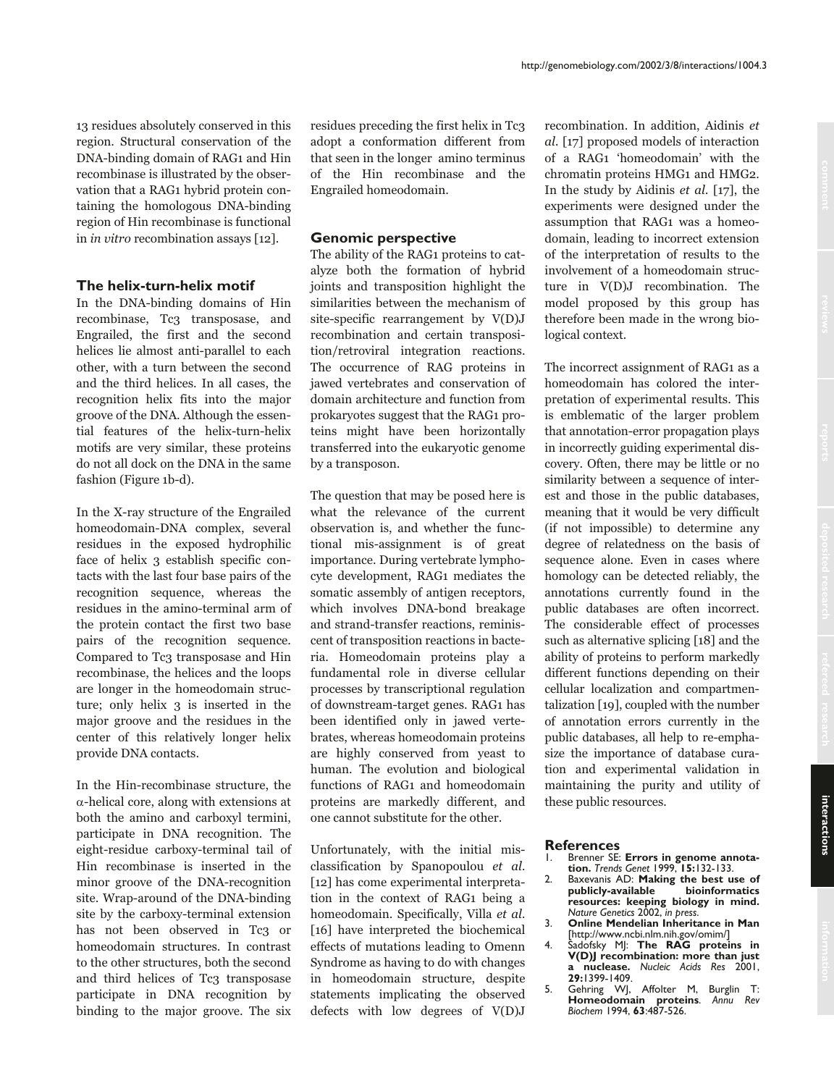13 residues absolutely conserved in this region. Structural conservation of the DNA-binding domain of RAG1 and Hin recombinase is illustrated by the observation that a RAG1 hybrid protein containing the homologous DNA-binding region of Hin recombinase is functional in *in vitro* recombination assays  $[12]$ .

#### The helix-turn-helix motif

In the DNA-binding domains of Hin recombinase, Tc3 transposase, and Engrailed, the first and the second helices lie almost anti-parallel to each other, with a turn between the second and the third helices. In all cases, the recognition helix fits into the major groove of the DNA. Although the essential features of the helix-turn-helix motifs are very similar, these proteins do not all dock on the DNA in the same fashion (Figure 1b-d).

In the X-ray structure of the Engrailed homeodomain-DNA complex, several residues in the exposed hydrophilic face of helix 3 establish specific contacts with the last four base pairs of the recognition sequence, whereas the residues in the amino-terminal arm of the protein contact the first two base pairs of the recognition sequence. Compared to Tc3 transposase and Hin recombinase, the helices and the loops are longer in the homeodomain structure; only helix 3 is inserted in the major groove and the residues in the center of this relatively longer helix provide DNA contacts.

In the Hin-recombinase structure, the  $\alpha$ -helical core, along with extensions at both the amino and carboxyl termini, participate in DNA recognition. The eight-residue carboxy-terminal tail of Hin recombinase is inserted in the minor groove of the DNA-recognition site. Wrap-around of the DNA-binding site by the carboxy-terminal extension has not been observed in Tc3 or homeodomain structures. In contrast to the other structures, both the second and third helices of Tc3 transposase participate in DNA recognition by binding to the major groove. The six

residues preceding the first helix in Tc3 adopt a conformation different from that seen in the longer amino terminus of the Hin recombinase and the Engrailed homeodomain.

### **Genomic perspective**

The ability of the RAG1 proteins to catalyze both the formation of hybrid joints and transposition highlight the similarities between the mechanism of site-specific rearrangement by V(D)J recombination and certain transposition/retroviral integration reactions. The occurrence of RAG proteins in jawed vertebrates and conservation of domain architecture and function from prokaryotes suggest that the RAG1 proteins might have been horizontally transferred into the eukaryotic genome by a transposon.

The question that may be posed here is what the relevance of the current observation is, and whether the functional mis-assignment is of great importance. During vertebrate lymphocyte development, RAG1 mediates the somatic assembly of antigen receptors, which involves DNA-bond breakage and strand-transfer reactions, reminiscent of transposition reactions in bacteria. Homeodomain proteins play a fundamental role in diverse cellular processes by transcriptional regulation of downstream-target genes. RAG1 has been identified only in jawed vertebrates, whereas homeodomain proteins are highly conserved from yeast to human. The evolution and biological functions of RAG1 and homeodomain proteins are markedly different, and one cannot substitute for the other.

Unfortunately, with the initial misclassification by Spanopoulou et al. [12] has come experimental interpretation in the context of RAG1 being a homeodomain. Specifically, Villa et al. [16] have interpreted the biochemical effects of mutations leading to Omenn Syndrome as having to do with changes in homeodomain structure, despite statements implicating the observed defects with low degrees of  $V(D)J$  recombination. In addition, Aidinis et al. [17] proposed models of interaction of a RAG1 'homeodomain' with the chromatin proteins HMG1 and HMG2. In the study by Aidinis et al.  $[17]$ , the experiments were designed under the assumption that RAG1 was a homeodomain, leading to incorrect extension of the interpretation of results to the involvement of a homeodomain structure in V(D)J recombination. The model proposed by this group has therefore been made in the wrong biological context.

The incorrect assignment of RAG1 as a homeodomain has colored the interpretation of experimental results. This is emblematic of the larger problem that annotation-error propagation plays in incorrectly guiding experimental discovery. Often, there may be little or no similarity between a sequence of interest and those in the public databases, meaning that it would be very difficult (if not impossible) to determine any degree of relatedness on the basis of sequence alone. Even in cases where homology can be detected reliably, the annotations currently found in the public databases are often incorrect. The considerable effect of processes such as alternative splicing [18] and the ability of proteins to perform markedly different functions depending on their cellular localization and compartmentalization  $[19]$ , coupled with the number of annotation errors currently in the public databases, all help to re-emphasize the importance of database curation and experimental validation in maintaining the purity and utility of these public resources.

#### **References**

- Brenner SE: Errors in genome annotation. Trends Genet 1999, 15:132-133.
- Baxevanis AD: Making the best use of  $2.$ publicly-available bioinformatics resources: keeping biology in mind. Nature Genetics 2002, in press.
- Online Mendelian Inheritance in Man 3. [http://www.ncbi.nlm.nih.gov/omim/]
- Sadofsky MI: The RAG proteins in  $4.$ V(D)J recombination: more than just a nuclease. Nucleic Acids Res 2001, 29:1399-1409.
- Gehring WJ, Affolter M, Burglin T: 5. Homeodomain proteins. Annu Rev<br>Biochem 1994, 63:487-526.